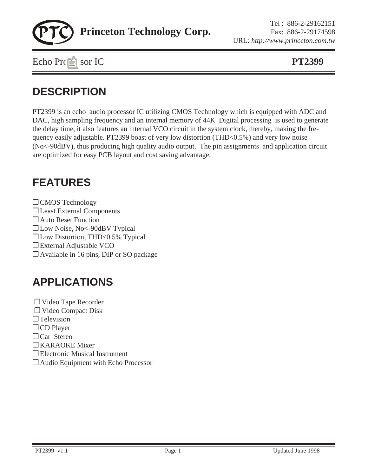

### **DESCRIPTION**

PT2399 is an echo audio processor IC utilizing CMOS Technology which is equipped with ADC and DAC, high sampling frequency and an internal memory of 44K Digital processing is used to generate the delay time, it also features an internal VCO circuit in the system clock, thereby, making the frequency easily adjustable. PT2399 boast of very low distortion (THD<0.5%) and very low noise (No<-90dBV), thus producing high quality audio output. The pin assignments and application circuit are optimized for easy PCB layout and cost saving advantage.

#### **FEATURES**

❒ CMOS Technology ❒ Least External Components ❒ Auto Reset Function ❒ Low Noise, No<-90dBV Typical ❒ Low Distortion, THD<0.5% Typical ❒ External Adjustable VCO ❒ Available in 16 pins, DIP or SO package

### **APPLICATIONS**

❒ Video Tape Recorder ❒ Video Compact Disk ❒ Television ❒ CD Player ❒ Car Stereo ❒ KARAOKE Mixer ❒ Electronic Musical Instrument ❒ Audio Equipment with Echo Processor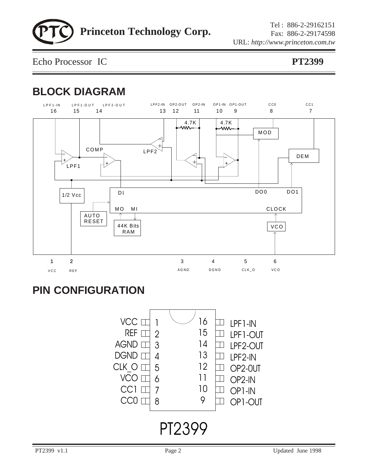Echo Processor IC **PT2399**

## **BLOCK DIAGRAM**



### **PIN CONFIGURATION**

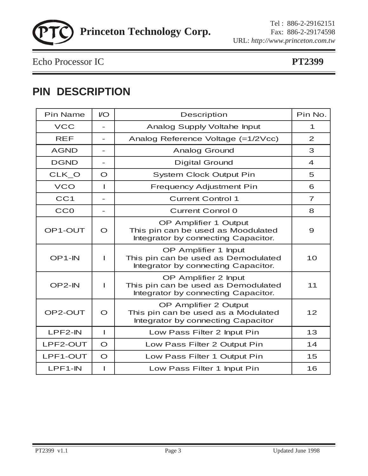Echo Processor IC **PT2399**

### **PIN DESCRIPTION**

| <b>Pin Name</b>     | $\mathsf{IO}$            | Description                                                                                        | Pin No.          |
|---------------------|--------------------------|----------------------------------------------------------------------------------------------------|------------------|
| <b>VCC</b>          |                          | Analog Supply Voltahe Input                                                                        | 1                |
| <b>REF</b>          | $\overline{\phantom{a}}$ | Analog Reference Voltage (=1/2Vcc)                                                                 | 2                |
| <b>AGND</b>         |                          | <b>Analog Ground</b>                                                                               | 3                |
| <b>DGND</b>         | $\overline{\phantom{0}}$ | <b>Digital Ground</b>                                                                              | $\boldsymbol{4}$ |
| CLK_O               | $\circ$                  | <b>System Clock Output Pin</b>                                                                     | 5                |
| <b>VCO</b>          | ı                        | <b>Frequency Adjustment Pin</b>                                                                    | 6                |
| CC <sub>1</sub>     | $\overline{\phantom{0}}$ | <b>Current Control 1</b>                                                                           | $\overline{7}$   |
| <b>CCO</b>          | $\overline{\phantom{0}}$ | <b>Current Conrol 0</b>                                                                            | 8                |
| OP1-OUT             | $\circ$                  | OP Amplifier 1 Output<br>This pin can be used as Moodulated<br>Integrator by connecting Capacitor. | 9                |
| OP <sub>1</sub> -IN | ı                        | OP Amplifier 1 Input<br>This pin can be used as Demodulated<br>Integrator by connecting Capacitor. | 10               |
| OP2-IN              | L                        | OP Amplifier 2 Input<br>This pin can be used as Demodulated<br>Integrator by connecting Capacitor. | 11               |
| OP2-OUT             | $\Omega$                 | OP Amplifier 2 Output<br>This pin can be used as a Modulated<br>Integrator by connecting Capacitor | 12               |
| LPF2-IN             | I                        | Low Pass Filter 2 Input Pin                                                                        | 13               |
| LPF2-OUT            | $\circ$                  | Low Pass Filter 2 Output Pin                                                                       | 14               |
| LPF1-OUT            | $\circ$                  | Low Pass Filter 1 Output Pin                                                                       | 15               |
| LPF1-IN             | I                        | Low Pass Filter 1 Input Pin                                                                        | 16               |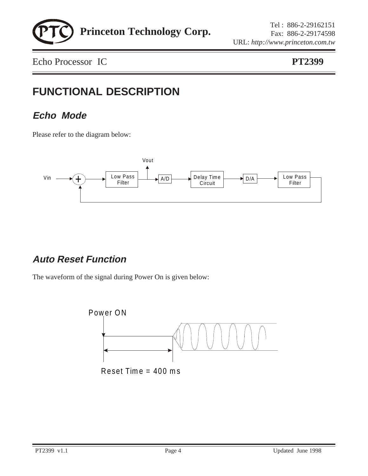

## **FUNCTIONAL DESCRIPTION**

#### **Echo Mode**

Please refer to the diagram below:



#### **Auto Reset Function**

The waveform of the signal during Power On is given below:

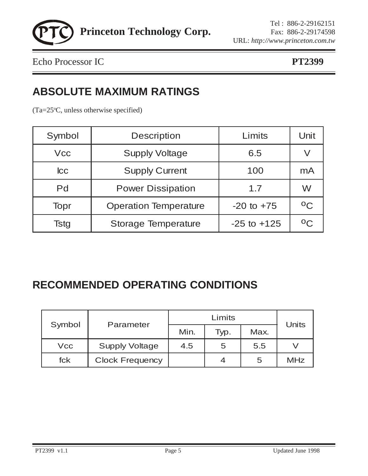

#### **ABSOLUTE MAXIMUM RATINGS**

(Ta=25°C, unless otherwise specified)

| Symbol     | <b>Description</b>           | Limits          | Unit         |
|------------|------------------------------|-----------------|--------------|
| <b>Vcc</b> | <b>Supply Voltage</b>        | 6.5             |              |
| $ _{CC}$   | <b>Supply Current</b><br>100 |                 | mA           |
| Pd         | <b>Power Dissipation</b>     | 1.7             | W            |
| Topr       | <b>Operation Temperature</b> | $-20$ to $+75$  | $^{\circ}$ C |
| Tstg       | <b>Storage Temperature</b>   | $-25$ to $+125$ | $^{\circ}$   |

### **RECOMMENDED OPERATING CONDITIONS**

|            | Parameter              |      | <b>Units</b>     |      |            |
|------------|------------------------|------|------------------|------|------------|
| Symbol     |                        | Min. | Typ.             | Max. |            |
| <b>Vcc</b> | <b>Supply Voltage</b>  | 4.5  | 5                | 5.5  |            |
| fck        | <b>Clock Frequency</b> |      | $\boldsymbol{A}$ | 5    | <b>MHz</b> |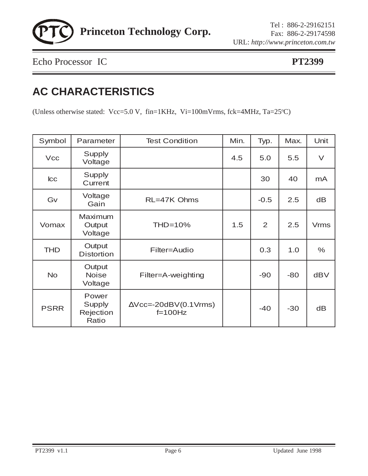

## **AC CHARACTERISTICS**

(Unless otherwise stated: Vcc=5.0 V, fin=1KHz, Vi=100mVrms, fck=4MHz, Ta=25 °C)

| Symbol      | Parameter                                    | <b>Test Condition</b>                         | Min. | Typ.           | Max.  | Unit        |
|-------------|----------------------------------------------|-----------------------------------------------|------|----------------|-------|-------------|
| <b>Vcc</b>  | Supply<br>Voltage                            |                                               | 4.5  | 5.0            | 5.5   | $\vee$      |
| $ _{CC}$    | Supply<br>Current                            |                                               |      | 30             | 40    | mA          |
| Gv          | Voltage<br>Gain                              | RL=47K Ohms                                   |      | $-0.5$         | 2.5   | dB          |
| Vomax       | <b>Maximum</b><br>Output<br>Voltage          | $THD=10%$                                     | 1.5  | $\overline{2}$ | 2.5   | <b>Vrms</b> |
| <b>THD</b>  | Output<br><b>Distortion</b>                  | Filter=Audio                                  |      | 0.3            | 1.0   | $\%$        |
| <b>No</b>   | Output<br><b>Noise</b><br>Voltage            | Filter=A-weighting                            |      | $-90$          | $-80$ | <b>dBV</b>  |
| <b>PSRR</b> | Power<br><b>Supply</b><br>Rejection<br>Ratio | $\triangle$ Vcc=-20dBV(0.1Vrms)<br>$f=100$ Hz |      | $-40$          | $-30$ | dB          |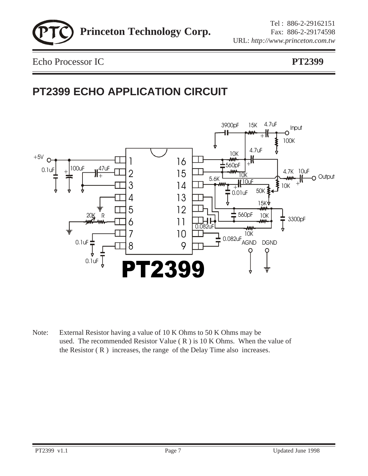

## **PT2399 ECHO APPLICATION CIRCUIT**



Note: External Resistor having a value of 10 K Ohms to 50 K Ohms may be used. The recommended Resistor Value  $(R)$  is 10 K Ohms. When the value of the Resistor ( R ) increases, the range of the Delay Time also increases.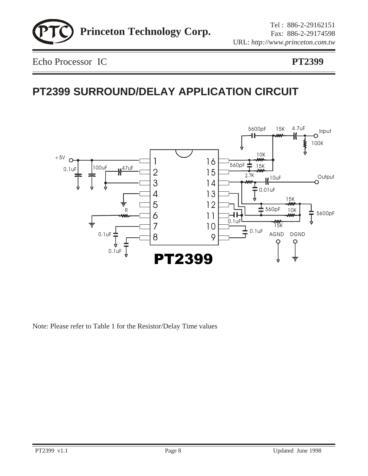

## **PT2399 SURROUND/DELAY APPLICATION CIRCUIT**



Note: Please refer to Table 1 for the Resistor/Delay Time values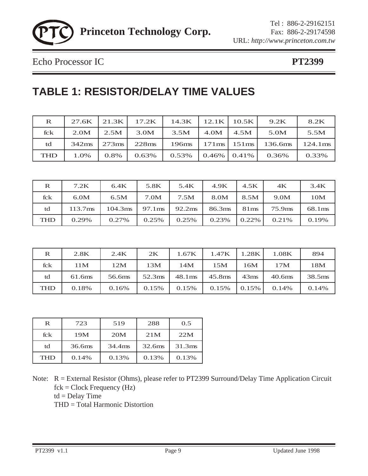

### **TABLE 1: RESISTOR/DELAY TIME VALUES**

| $\mathbf{R}$ | 27.6K | 21.3K      | 17.2K | 14.3K |                                   | $12.1K$   10.5K | 9.2K    | 8.2K       |
|--------------|-------|------------|-------|-------|-----------------------------------|-----------------|---------|------------|
| fck          | 2.0M  | 2.5M       | 3.0M  | 3.5M  | 4.0M                              | 4.5M            | 5.0M    | 5.5M       |
| td           | 342ms | $273$ ms l | 228ms | 196ms | $171 \text{ms}$   $151 \text{ms}$ |                 | 136.6ms | $124.1$ ms |
| <b>THD</b>   | 1.0%  | 0.8%       | 0.63% | 0.53% | $0.46\%$ 0.41\%                   |                 | 0.36%   | 0.33%      |

| $\bf R$    | 7.2K                | 6.4K    | 5.8K               | 5.4K               | 4.9K   | 4.5K   | 4K     | 3.4K    |
|------------|---------------------|---------|--------------------|--------------------|--------|--------|--------|---------|
| fck        | 6.0M                | 6.5M    | 7.0M               | 7.5M               | 8.0M   | 8.5M   | 9.0M   | 10M     |
| td         | 113.7 <sub>ms</sub> | 104.3ms | 97.1 <sub>ms</sub> | 92.2 <sub>ms</sub> | 86.3ms | 81ms   | 75.9ms | 68.1 ms |
| <b>THD</b> | 0.29%               | 0.27%   | 0.25%              | 0.25%              | 0.23%  | 0.22\% | 0.21\% | 0.19%   |

| $\bf{R}$   | 2.8K   | 2.4K   | 2K                 | 1.67K              | 1.47K  | 1.28K            | 1.08K              | 894                |
|------------|--------|--------|--------------------|--------------------|--------|------------------|--------------------|--------------------|
| fck        | 11M    | 12M    | 13M                | 14M                | 15M    | 16M              | 17M                | 18M                |
| td         | 61.6ms | 56.6ms | 52.3 <sub>ms</sub> | 48.1 <sub>ms</sub> | 45.8ms | 43 <sub>ms</sub> | 40.6 <sub>ms</sub> | 38.5 <sub>ms</sub> |
| <b>THD</b> | 0.18%  | 0.16%  | 0.15%              | 0.15%              | 0.15%  | $\sqrt{0.15\%}$  | 0.14%              | 0.14%              |

| R          | 723    | 519    | 288                | 0.5                |
|------------|--------|--------|--------------------|--------------------|
| fck        | 19M    | 20M    | 21M                | 22M                |
| td         | 36.6ms | 34.4ms | 32.6 <sub>ms</sub> | 31.3 <sub>ms</sub> |
| <b>THD</b> | 0.14%  | 0.13%  | 0.13%              | 0.13%              |

Note: R = External Resistor (Ohms), please refer to PT2399 Surround/Delay Time Application Circuit fck = Clock Frequency (Hz)  $td = Delay$  Time THD = Total Harmonic Distortion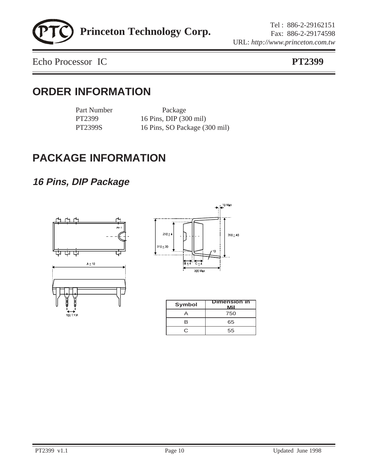Echo Processor IC **PT2399**

#### **ORDER INFORMATION**

Part Number Package

PT2399 16 Pins, DIP (300 mil) PT2399S 16 Pins, SO Package (300 mil)

### **PACKAGE INFORMATION**

#### **16 Pins, DIP Package**





| Symbol | <b>Dimension in</b><br>Mil |
|--------|----------------------------|
|        | 750                        |
| B      | 65                         |
| C.     | 55                         |